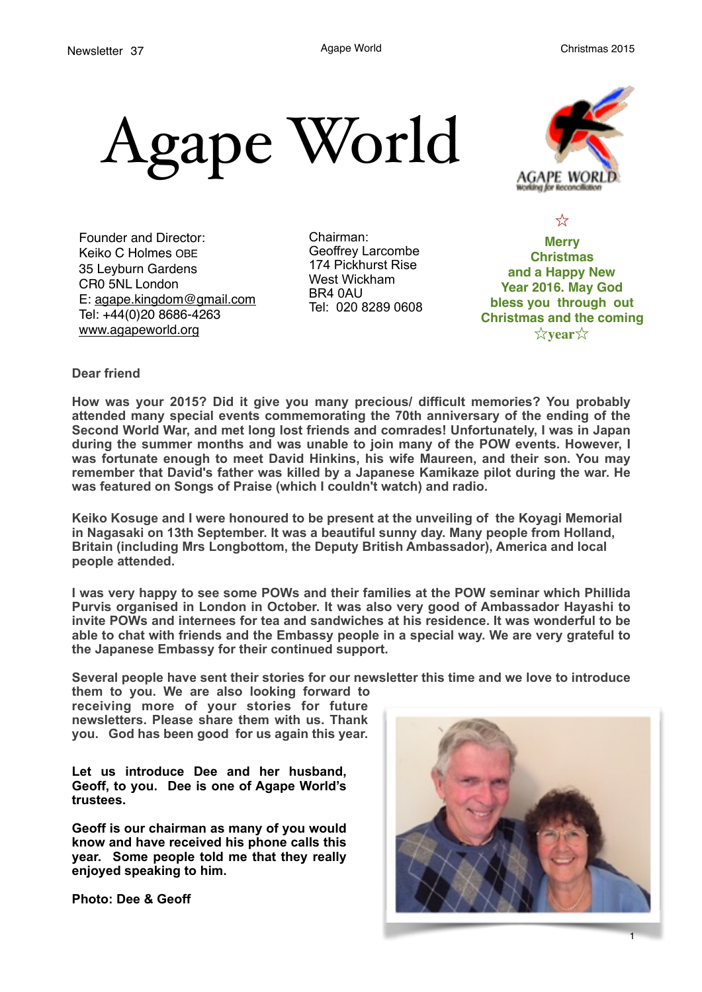



Founder and Director: Keiko C Holmes OBE 35 Leyburn Gardens CR0 5NL London E: [agape.kingdom@gmail.com](mailto:agape.kingdom@gmail.com) Tel: +44(0)20 8686-4263 [www.agapeworld.org](http://www.agapeworld.org)

Chairman: Geoffrey Larcombe 174 Pickhurst Rise West Wickham BR4 0AU Tel: 020 8289 0608

**Merry Christmas and a Happy New Year 2016. May God bless you through out Christmas and the coming** ☆**year**☆

☆

**Dear friend** 

**How was your 2015? Did it give you many precious/ difficult memories? You probably attended many special events commemorating the 70th anniversary of the ending of the Second World War, and met long lost friends and comrades! Unfortunately, I was in Japan during the summer months and was unable to join many of the POW events. However, I was fortunate enough to meet David Hinkins, his wife Maureen, and their son. You may remember that David's father was killed by a Japanese Kamikaze pilot during the war. He was featured on Songs of Praise (which I couldn't watch) and radio.** 

**Keiko Kosuge and I were honoured to be present at the unveiling of the Koyagi Memorial in Nagasaki on 13th September. It was a beautiful sunny day. Many people from Holland, Britain (including Mrs Longbottom, the Deputy British Ambassador), America and local people attended.** 

**I was very happy to see some POWs and their families at the POW seminar which Phillida Purvis organised in London in October. It was also very good of Ambassador Hayashi to invite POWs and internees for tea and sandwiches at his residence. It was wonderful to be able to chat with friends and the Embassy people in a special way. We are very grateful to the Japanese Embassy for their continued support.** 

**Several people have sent their stories for our newsletter this time and we love to introduce** 

**them to you. We are also looking forward to receiving more of your stories for future newsletters. Please share them with us. Thank you. God has been good for us again this year.**

**Let us introduce Dee and her husband, Geoff, to you. Dee is one of Agape World's trustees.** 

**Geoff is our chairman as many of you would know and have received his phone calls this year. Some people told me that they really enjoyed speaking to him.** 

**Photo: Dee & Geoff** 



1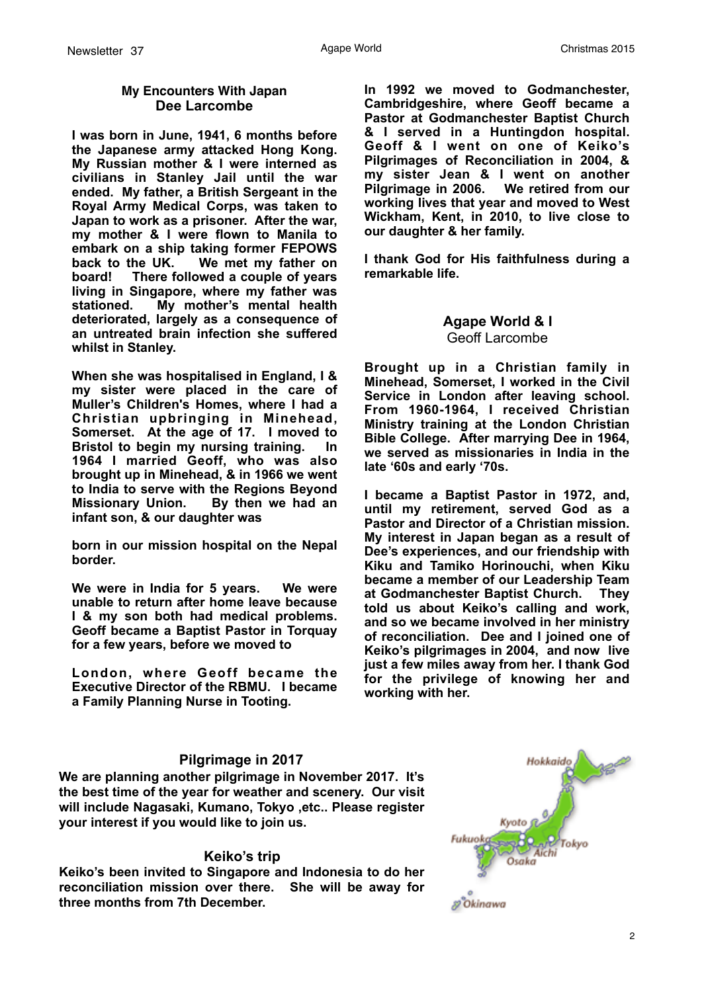#### **My Encounters With Japan Dee Larcombe**

**I was born in June, 1941, 6 months before the Japanese army attacked Hong Kong. My Russian mother & I were interned as civilians in Stanley Jail until the war ended. My father, a British Sergeant in the Royal Army Medical Corps, was taken to Japan to work as a prisoner. After the war, my mother & I were flown to Manila to embark on a ship taking former FEPOWS back to the UK. We met my father on board! There followed a couple of years living in Singapore, where my father was stationed. My mother's mental health deteriorated, largely as a consequence of an untreated brain infection she suffered whilst in Stanley.**

**When she was hospitalised in England, I & my sister were placed in the care of Muller's Children's Homes, where I had a Christian upbringing in Minehead, Somerset. At the age of 17. I moved to Bristol to begin my nursing training. In 1964 I married Geoff, who was also brought up in Minehead, & in 1966 we went to India to serve with the Regions Beyond Missionary Union. By then we had an infant son, & our daughter was** 

**born in our mission hospital on the Nepal border.**

**We were in India for 5 years. We were unable to return after home leave because I & my son both had medical problems. Geoff became a Baptist Pastor in Torquay for a few years, before we moved to** 

**London, where Geoff became the Executive Director of the RBMU. I became a Family Planning Nurse in Tooting.** 

**In 1992 we moved to Godmanchester, Cambridgeshire, where Geoff became a Pastor at Godmanchester Baptist Church & I served in a Huntingdon hospital. Geoff & I went on one of Keiko's Pilgrimages of Reconciliation in 2004, & my sister Jean & I went on another Pilgrimage in 2006. We retired from our working lives that year and moved to West Wickham, Kent, in 2010, to live close to our daughter & her family.** 

**I thank God for His faithfulness during a remarkable life.**

## **Agape World & I**  Geoff Larcombe

**Brought up in a Christian family in Minehead, Somerset, I worked in the Civil Service in London after leaving school. From 1960-1964, I received Christian Ministry training at the London Christian Bible College. After marrying Dee in 1964, we served as missionaries in India in the late '60s and early '70s.** 

**I became a Baptist Pastor in 1972, and, until my retirement, served God as a Pastor and Director of a Christian mission. My interest in Japan began as a result of Dee's experiences, and our friendship with Kiku and Tamiko Horinouchi, when Kiku became a member of our Leadership Team at Godmanchester Baptist Church. They told us about Keiko's calling and work, and so we became involved in her ministry of reconciliation. Dee and I joined one of Keiko's pilgrimages in 2004, and now live just a few miles away from her. I thank God for the privilege of knowing her and working with her.** 

#### **Pilgrimage in 2017**

**We are planning another pilgrimage in November 2017. It's the best time of the year for weather and scenery. Our visit will include Nagasaki, Kumano, Tokyo ,etc.. Please register your interest if you would like to join us.** 

#### **Keiko's trip**

**Keiko's been invited to Singapore and Indonesia to do her reconciliation mission over there. She will be away for three months from 7th December.** 

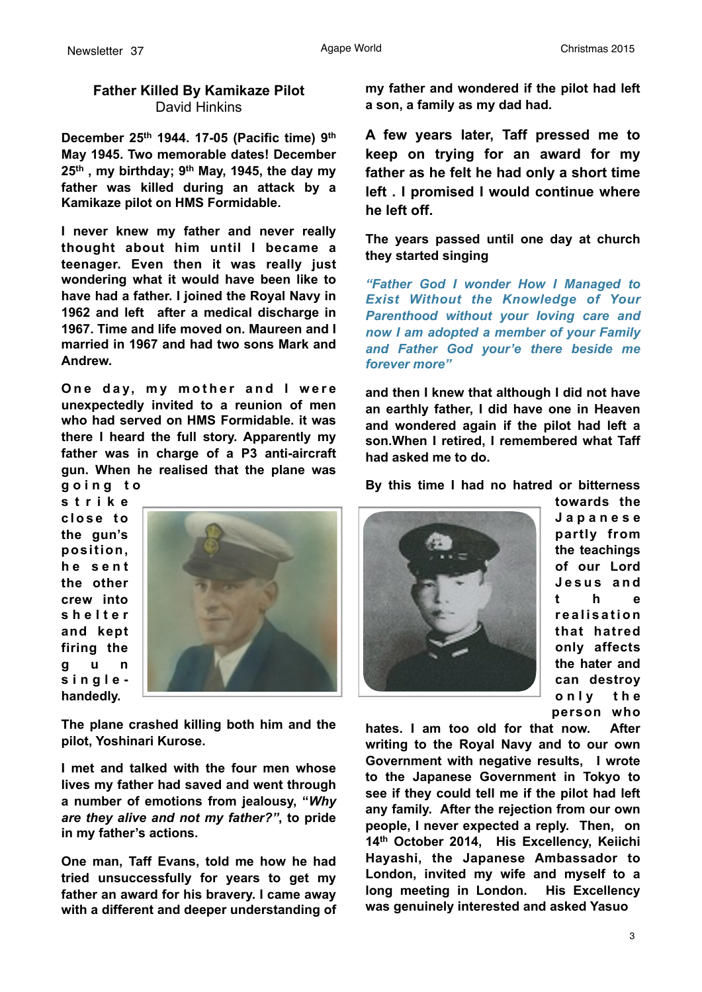# **Father Killed By Kamikaze Pilot**  David Hinkins

**December 25th 1944. 17-05 (Pacific time) 9th May 1945. Two memorable dates! December 25th , my birthday; 9th May, 1945, the day my father was killed during an attack by a Kamikaze pilot on HMS Formidable.** 

**I never knew my father and never really thought about him until I became a teenager. Even then it was really just wondering what it would have been like to have had a father. I joined the Royal Navy in 1962 and left after a medical discharge in 1967. Time and life moved on. Maureen and I married in 1967 and had two sons Mark and Andrew.**

**One day, my mother and I were unexpectedly invited to a reunion of men who had served on HMS Formidable. it was there I heard the full story. Apparently my father was in charge of a P3 anti-aircraft gun. When he realised that the plane was g o i n g t o** 

**s t r i k e c l o s e t o the gun's position, h e s e n t the other crew into s h e l t e r and kept firing the g u n singlehandedly.**



**The plane crashed killing both him and the pilot, Yoshinari Kurose.** 

**I met and talked with the four men whose lives my father had saved and went through a number of emotions from jealousy, "***Why are they alive and not my father?"***, to pride in my father's actions.**

**One man, Taff Evans, told me how he had tried unsuccessfully for years to get my father an award for his bravery. I came away with a different and deeper understanding of**  **my father and wondered if the pilot had left a son, a family as my dad had.** 

**A few years later, Taff pressed me to keep on trying for an award for my father as he felt he had only a short time left . I promised I would continue where he left off.** 

**The years passed until one day at church they started singing** 

*"Father God I wonder How I Managed to Exist Without the Knowledge of Your Parenthood without your loving care and now I am adopted a member of your Family and Father God your'e there beside me forever more"* 

**and then I knew that although I did not have an earthly father, I did have one in Heaven and wondered again if the pilot had left a son.When I retired, I remembered what Taff had asked me to do.** 

**By this time I had no hatred or bitterness** 



**towards the J a p a n e s e partly from the teachings of our Lord J e s u s a n d t h e r e a l i s a t i o n that hatred only affects the hater and can destroy o n l y t h e person who** 

**hates. I am too old for that now. After writing to the Royal Navy and to our own Government with negative results, I wrote to the Japanese Government in Tokyo to see if they could tell me if the pilot had left any family. After the rejection from our own people, I never expected a reply. Then, on 14th October 2014, His Excellency, Keiichi Hayashi, the Japanese Ambassador to London, invited my wife and myself to a long meeting in London. His Excellency was genuinely interested and asked Yasuo** 

3